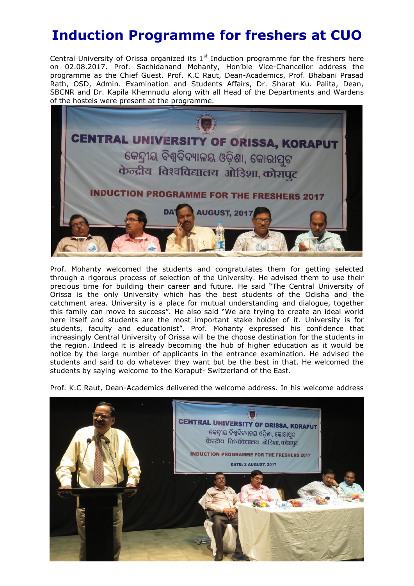## **Induction Programme for freshers at CUO**

Central University of Orissa organized its  $1<sup>st</sup>$  Induction programme for the freshers here on 02.08.2017. Prof. Sachidanand Mohanty, Hon'ble Vice-Chancellor address the programme as the Chief Guest. Prof. K.C Raut, Dean-Academics, Prof. Bhabani Prasad Rath, OSD, Admin. Examination and Students Affairs, Dr. Sharat Ku. Palita, Dean, SBCNR and Dr. Kapila Khemnudu along with all Head of the Departments and Wardens of the hostels were present at the programme.



Prof. Mohanty welcomed the students and congratulates them for getting selected through a rigorous process of selection of the University. He advised them to use their precious time for building their career and future. He said "The Central University of Orissa is the only University which has the best students of the Odisha and the catchment area. University is a place for mutual understanding and dialogue, together this family can move to success". He also said "We are trying to create an ideal world here itself and students are the most important stake holder of it. University is for students, faculty and educationist". Prof. Mohanty expressed his confidence that increasingly Central University of Orissa will be the choose destination for the students in the region. Indeed it is already becoming the hub of higher education as it would be notice by the large number of applicants in the entrance examination. He advised the students and said to do whatever they want but be the best in that. He welcomed the students by saying welcome to the Koraput- Switzerland of the East.

Prof. K.C Raut, Dean-Academics delivered the welcome address. In his welcome address